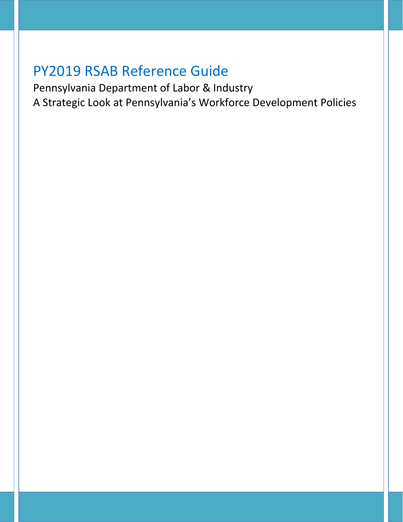Pennsylvania Department of Labor & Industry A Strategic Look at Pennsylvania's Workforce Development Policies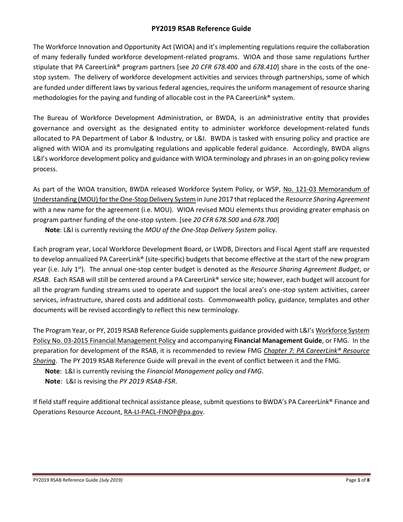The Workforce Innovation and Opportunity Act (WIOA) and it's implementing regulations require the collaboration of many federally funded workforce development-related programs. WIOA and those same regulations further stipulate that PA CareerLink® program partners [see *20 CFR 678.400* and *678.410*] share in the costs of the onestop system. The delivery of workforce development activities and services through partnerships, some of which are funded under different laws by various federal agencies, requires the uniform management of resource sharing methodologies for the paying and funding of allocable cost in the PA CareerLink<sup>®</sup> system.

The Bureau of Workforce Development Administration, or BWDA, is an administrative entity that provides governance and oversight as the designated entity to administer workforce development-related funds allocated to PA Department of Labor & Industry, or L&I. BWDA is tasked with ensuring policy and practice are aligned with WIOA and its promulgating regulations and applicable federal guidance. Accordingly, BWDA aligns L&I's workforce development policy and guidance with WIOA terminology and phrases in an on-going policy review process.

As part of the WIOA transition, BWDA released Workforce System Policy, or WSP, [No. 121-03 Memorandum of](https://www.dli.pa.gov/Businesses/Workforce-Development/Documents/MOU%20Guidance.pdf)  [Understanding \(MOU\) for the One-Stop Delivery System](https://www.dli.pa.gov/Businesses/Workforce-Development/Documents/MOU%20Guidance.pdf) in June 2017 that replaced the *Resource Sharing Agreement* with a new name for the agreement (i.e. MOU). WIOA revised MOU elements thus providing greater emphasis on program partner funding of the one-stop system. [see *20 CFR 678.500* and *678.700*]

**Note**: L&I is currently revising the *MOU of the One-Stop Delivery System* policy.

Each program year, Local Workforce Development Board, or LWDB, Directors and Fiscal Agent staff are requested to develop annualized PA CareerLink® (site-specific) budgets that become effective at the start of the new program year (i.e. July 1st). The annual one-stop center budget is denoted as the *Resource Sharing Agreement Budget*, or *RSAB*. Each RSAB will still be centered around a PA CareerLink® service site; however, each budget will account for all the program funding streams used to operate and support the local area's one-stop system activities, career services, infrastructure, shared costs and additional costs. Commonwealth policy, guidance, templates and other documents will be revised accordingly to reflect this new terminology.

The Program Year, or PY, 2019 RSAB Reference Guide supplements guidance provided with L&I's [Workforce System](https://www.dli.pa.gov/Businesses/Workforce-Development/Pages/Pennsylvania)  [Policy No. 03-2015 Financial Management Policy](https://www.dli.pa.gov/Businesses/Workforce-Development/Pages/Pennsylvania) and accompanying **Financial Management Guide**, or FMG. In the preparation for development of the RSAB, it is recommended to review FMG *Chapter 7: PA CareerLink® Resource Sharing*. The PY 2019 RSAB Reference Guide will prevail in the event of conflict between it and the FMG.

**Note**: L&I is currently revising the *Financial Management policy and FMG*.

**Note**: L&I is revising the *PY 2019 RSAB-FSR*.

If field staff require additional technical assistance please, submit questions to BWDA's PA CareerLink® Finance and Operations Resource Account, [RA-LI-PACL-FINOP@pa.gov.](mailto:RA-LI-PACL-FINOP@pa.gov)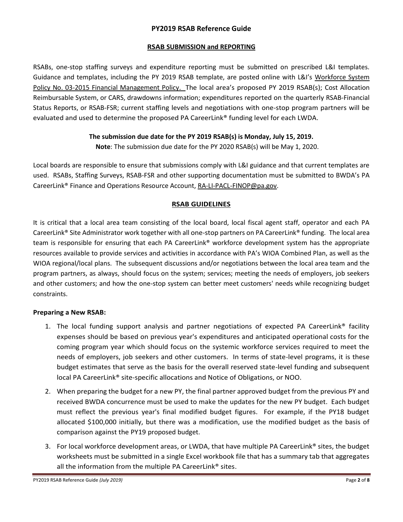## **RSAB SUBMISSION and REPORTING**

RSABs, one-stop staffing surveys and expenditure reporting must be submitted on prescribed L&I templates. Guidance and templates, including the PY 2019 RSAB template, are posted online with L&I's Workforce System [Policy No. 03-2015 Financial Management Policy.](https://www.dli.pa.gov/Businesses/Workforce-Development/Pages/Pennsylvania) The local area's proposed PY 2019 RSAB(s); Cost Allocation Reimbursable System, or CARS, drawdowns information; expenditures reported on the quarterly RSAB-Financial Status Reports, or RSAB-FSR; current staffing levels and negotiations with one-stop program partners will be evaluated and used to determine the proposed PA CareerLink® funding level for each LWDA.

## **The submission due date for the PY 2019 RSAB(s) is Monday, July 15, 2019.**

**Note**: The submission due date for the PY 2020 RSAB(s) will be May 1, 2020.

Local boards are responsible to ensure that submissions comply with L&I guidance and that current templates are used. RSABs, Staffing Surveys, RSAB-FSR and other supporting documentation must be submitted to BWDA's PA CareerLink® Finance and Operations Resource Account, [RA-LI-PACL-FINOP@pa.gov.](mailto:RA-LI-PACL-FINOP@pa.gov)

## **RSAB GUIDELINES**

It is critical that a local area team consisting of the local board, local fiscal agent staff, operator and each PA CareerLink® Site Administrator work together with all one-stop partners on PA CareerLink® funding. The local area team is responsible for ensuring that each PA CareerLink® workforce development system has the appropriate resources available to provide services and activities in accordance with PA's WIOA Combined Plan, as well as the WIOA regional/local plans. The subsequent discussions and/or negotiations between the local area team and the program partners, as always, should focus on the system; services; meeting the needs of employers, job seekers and other customers; and how the one-stop system can better meet customers' needs while recognizing budget constraints.

#### **Preparing a New RSAB:**

- 1. The local funding support analysis and partner negotiations of expected PA CareerLink<sup>®</sup> facility expenses should be based on previous year's expenditures and anticipated operational costs for the coming program year which should focus on the systemic workforce services required to meet the needs of employers, job seekers and other customers. In terms of state-level programs, it is these budget estimates that serve as the basis for the overall reserved state-level funding and subsequent local PA CareerLink® site-specific allocations and Notice of Obligations, or NOO.
- 2. When preparing the budget for a new PY, the final partner approved budget from the previous PY and received BWDA concurrence must be used to make the updates for the new PY budget. Each budget must reflect the previous year's final modified budget figures. For example, if the PY18 budget allocated \$100,000 initially, but there was a modification, use the modified budget as the basis of comparison against the PY19 proposed budget.
- 3. For local workforce development areas, or LWDA, that have multiple PA CareerLink® sites, the budget worksheets must be submitted in a single Excel workbook file that has a summary tab that aggregates all the information from the multiple PA CareerLink® sites.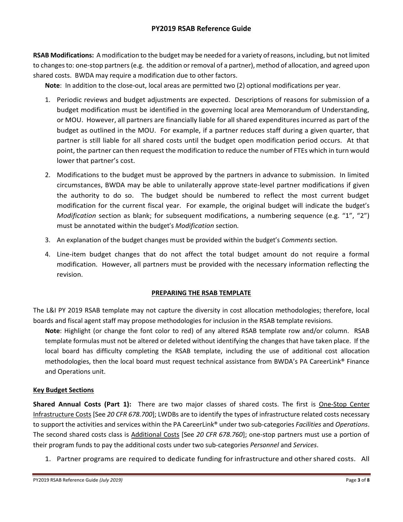**RSAB Modifications:** A modification to the budget may be needed for a variety of reasons, including, but not limited to changes to: one-stop partners (e.g. the addition or removal of a partner), method of allocation, and agreed upon shared costs. BWDA may require a modification due to other factors.

**Note**: In addition to the close-out, local areas are permitted two (2) optional modifications per year.

- 1. Periodic reviews and budget adjustments are expected. Descriptions of reasons for submission of a budget modification must be identified in the governing local area Memorandum of Understanding, or MOU. However, all partners are financially liable for all shared expenditures incurred as part of the budget as outlined in the MOU. For example, if a partner reduces staff during a given quarter, that partner is still liable for all shared costs until the budget open modification period occurs. At that point, the partner can then request the modification to reduce the number of FTEs which in turn would lower that partner's cost.
- 2. Modifications to the budget must be approved by the partners in advance to submission. In limited circumstances, BWDA may be able to unilaterally approve state-level partner modifications if given the authority to do so. The budget should be numbered to reflect the most current budget modification for the current fiscal year. For example, the original budget will indicate the budget's *Modification* section as blank; for subsequent modifications, a numbering sequence (e.g. "1", "2") must be annotated within the budget's *Modification* section*.*
- 3. An explanation of the budget changes must be provided within the budget's *Comments* section.
- 4. Line-item budget changes that do not affect the total budget amount do not require a formal modification. However, all partners must be provided with the necessary information reflecting the revision.

## **PREPARING THE RSAB TEMPLATE**

The L&I PY 2019 RSAB template may not capture the diversity in cost allocation methodologies; therefore, local boards and fiscal agent staff may propose methodologies for inclusion in the RSAB template revisions.

**Note**: Highlight (or change the font color to red) of any altered RSAB template row and/or column. RSAB template formulas must not be altered or deleted without identifying the changes that have taken place. If the local board has difficulty completing the RSAB template, including the use of additional cost allocation methodologies, then the local board must request technical assistance from BWDA's PA CareerLink® Finance and Operations unit.

## **Key Budget Sections**

**Shared Annual Costs (Part 1):** There are two major classes of shared costs. The first is One-Stop Center Infrastructure Costs [See *20 CFR 678.700*]; LWDBs are to identify the types of infrastructure related costs necessary to support the activities and services within the PA CareerLink® under two sub-categories *Facilities* and *Operations*. The second shared costs class is Additional Costs [See *20 CFR 678.760*]; one-stop partners must use a portion of their program funds to pay the additional costs under two sub-categories *Personnel* and *Services*.

1. Partner programs are required to dedicate funding for infrastructure and othershared costs. All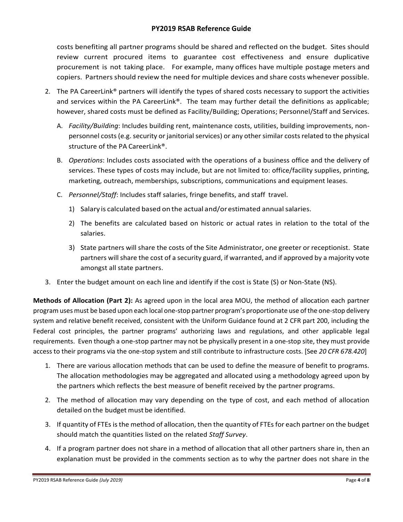costs benefiting all partner programs should be shared and reflected on the budget. Sites should review current procured items to guarantee cost effectiveness and ensure duplicative procurement is not taking place. For example, many offices have multiple postage meters and copiers. Partners should review the need for multiple devices and share costs whenever possible.

- 2. The PA CareerLink<sup>®</sup> partners will identify the types of shared costs necessary to support the activities and services within the PA CareerLink®. The team may further detail the definitions as applicable; however, shared costs must be defined as Facility/Building; Operations; Personnel/Staff and Services.
	- A. *Facility/Building*: Includes building rent, maintenance costs, utilities, building improvements, nonpersonnel costs (e.g. security or janitorial services) or any other similar costs related to the physical structure of the PA CareerLink®.
	- B. *Operations*: Includes costs associated with the operations of a business office and the delivery of services. These types of costs may include, but are not limited to: office/facility supplies, printing, marketing, outreach, memberships, subscriptions, communications and equipment leases.
	- C. *Personnel/Staff*: Includes staff salaries, fringe benefits, and staff travel.
		- 1) Salary is calculated based on the actual and/orestimated annualsalaries.
		- 2) The benefits are calculated based on historic or actual rates in relation to the total of the salaries.
		- 3) State partners will share the costs of the Site Administrator, one greeter or receptionist. State partners will share the cost of a security guard, if warranted, and if approved by a majority vote amongst all state partners.
- 3. Enter the budget amount on each line and identify if the cost is State (S) or Non-State (NS).

**Methods of Allocation (Part 2):** As agreed upon in the local area MOU, the method of allocation each partner program uses must be based upon each local one-stop partner program's proportionate use of the one-stop delivery system and relative benefit received, consistent with the Uniform Guidance found at 2 CFR part 200, including the Federal cost principles, the partner programs' authorizing laws and regulations, and other applicable legal requirements. Even though a one-stop partner may not be physically present in a one-stop site, they must provide access to their programs via the one-stop system and still contribute to infrastructure costs. [See *20 CFR 678.420*]

- 1. There are various allocation methods that can be used to define the measure of benefit to programs. The allocation methodologies may be aggregated and allocated using a methodology agreed upon by the partners which reflects the best measure of benefit received by the partner programs.
- 2. The method of allocation may vary depending on the type of cost, and each method of allocation detailed on the budget must be identified.
- 3. If quantity of FTEs is the method of allocation, then the quantity of FTEs for each partner on the budget should match the quantities listed on the related *Staff Survey*.
- 4. If a program partner does not share in a method of allocation that all other partners share in, then an explanation must be provided in the comments section as to why the partner does not share in the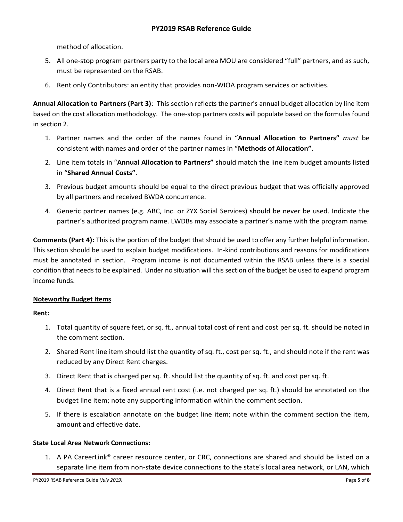method of allocation.

- 5. All one-stop program partners party to the local area MOU are considered "full" partners, and as such, must be represented on the RSAB.
- 6. Rent only Contributors: an entity that provides non-WIOA program services or activities.

**Annual Allocation to Partners (Part 3)**: This section reflects the partner's annual budget allocation by line item based on the cost allocation methodology. The one-stop partners costs will populate based on the formulas found in section 2.

- 1. Partner names and the order of the names found in "**Annual Allocation to Partners"** *must* be consistent with names and order of the partner names in "**Methods of Allocation"**.
- 2. Line item totals in "**Annual Allocation to Partners"** should match the line item budget amounts listed in "**Shared Annual Costs"**.
- 3. Previous budget amounts should be equal to the direct previous budget that was officially approved by all partners and received BWDA concurrence.
- 4. Generic partner names (e.g. ABC, Inc. or ZYX Social Services) should be never be used. Indicate the partner's authorized program name. LWDBs may associate a partner's name with the program name.

**Comments (Part 4):** This is the portion of the budget that should be used to offer any further helpful information. This section should be used to explain budget modifications. In-kind contributions and reasons for modifications must be annotated in section. Program income is not documented within the RSAB unless there is a special condition that needs to be explained. Under no situation will this section of the budget be used to expend program income funds.

#### **Noteworthy Budget Items**

#### **Rent:**

- 1. Total quantity of square feet, or sq. ft., annual total cost of rent and cost per sq. ft. should be noted in the comment section.
- 2. Shared Rent line item should list the quantity of sq. ft., cost per sq. ft., and should note if the rent was reduced by any Direct Rent charges.
- 3. Direct Rent that is charged per sq. ft. should list the quantity of sq. ft. and cost per sq. ft.
- 4. Direct Rent that is a fixed annual rent cost (i.e. not charged per sq. ft.) should be annotated on the budget line item; note any supporting information within the comment section.
- 5. If there is escalation annotate on the budget line item; note within the comment section the item, amount and effective date.

#### **State Local Area Network Connections:**

1. A PA CareerLink® career resource center, or CRC, connections are shared and should be listed on a separate line item from non-state device connections to the state's local area network, or LAN, which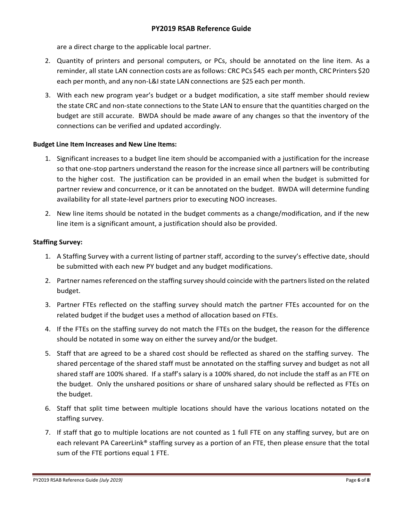are a direct charge to the applicable local partner.

- 2. Quantity of printers and personal computers, or PCs, should be annotated on the line item. As a reminder, all state LAN connection costs are asfollows: CRC PCs \$45 each per month, CRC Printers \$20 each per month, and any non-L&I state LAN connections are \$25 each per month.
- 3. With each new program year's budget or a budget modification, a site staff member should review the state CRC and non-state connections to the State LAN to ensure that the quantities charged on the budget are still accurate. BWDA should be made aware of any changes so that the inventory of the connections can be verified and updated accordingly.

## **Budget Line Item Increases and New Line Items:**

- 1. Significant increases to a budget line item should be accompanied with a justification for the increase so that one-stop partners understand the reason for the increase since all partners will be contributing to the higher cost. The justification can be provided in an email when the budget is submitted for partner review and concurrence, or it can be annotated on the budget. BWDA will determine funding availability for all state-level partners prior to executing NOO increases.
- 2. New line items should be notated in the budget comments as a change/modification, and if the new line item is a significant amount, a justification should also be provided.

## **Staffing Survey:**

- 1. A Staffing Survey with a current listing of partner staff, according to the survey's effective date, should be submitted with each new PY budget and any budget modifications.
- 2. Partner names referenced on the staffing survey should coincide with the partners listed on the related budget.
- 3. Partner FTEs reflected on the staffing survey should match the partner FTEs accounted for on the related budget if the budget uses a method of allocation based on FTEs.
- 4. If the FTEs on the staffing survey do not match the FTEs on the budget, the reason for the difference should be notated in some way on either the survey and/or the budget.
- 5. Staff that are agreed to be a shared cost should be reflected as shared on the staffing survey. The shared percentage of the shared staff must be annotated on the staffing survey and budget as not all shared staff are 100% shared. If a staff's salary is a 100% shared, do not include the staff as an FTE on the budget. Only the unshared positions or share of unshared salary should be reflected as FTEs on the budget.
- 6. Staff that split time between multiple locations should have the various locations notated on the staffing survey.
- 7. If staff that go to multiple locations are not counted as 1 full FTE on any staffing survey, but are on each relevant PA CareerLink® staffing survey as a portion of an FTE, then please ensure that the total sum of the FTE portions equal 1 FTE.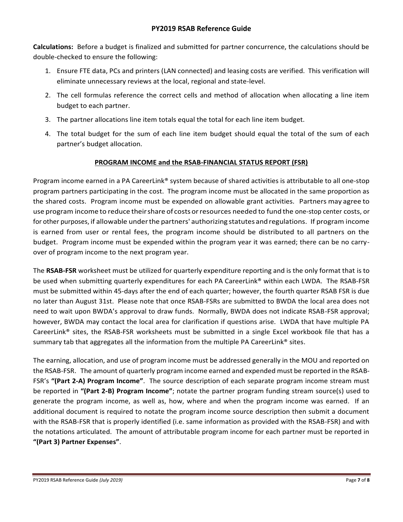**Calculations:** Before a budget is finalized and submitted for partner concurrence, the calculations should be double-checked to ensure the following:

- 1. Ensure FTE data, PCs and printers (LAN connected) and leasing costs are verified. This verification will eliminate unnecessary reviews at the local, regional and state-level.
- 2. The cell formulas reference the correct cells and method of allocation when allocating a line item budget to each partner.
- 3. The partner allocations line item totals equal the total for each line item budget.
- 4. The total budget for the sum of each line item budget should equal the total of the sum of each partner's budget allocation.

## **PROGRAM INCOME and the RSAB-FINANCIAL STATUS REPORT (FSR)**

Program income earned in a PA CareerLink® system because of shared activities is attributable to all one-stop program partners participating in the cost. The program income must be allocated in the same proportion as the shared costs. Program income must be expended on allowable grant activities. Partners may agree to use program income to reduce theirshare of costs orresources needed to fund the one-stop center costs, or for other purposes, if allowable underthe partners' authorizing statutes andregulations. If program income is earned from user or rental fees, the program income should be distributed to all partners on the budget. Program income must be expended within the program year it was earned; there can be no carryover of program income to the next program year.

The **RSAB-FSR** worksheet must be utilized for quarterly expenditure reporting and is the only format that is to be used when submitting quarterly expenditures for each PA CareerLink® within each LWDA. The RSAB-FSR must be submitted within 45-days after the end of each quarter; however, the fourth quarter RSAB FSR is due no later than August 31st. Please note that once RSAB-FSRs are submitted to BWDA the local area does not need to wait upon BWDA's approval to draw funds. Normally, BWDA does not indicate RSAB-FSR approval; however, BWDA may contact the local area for clarification if questions arise. LWDA that have multiple PA CareerLink® sites, the RSAB-FSR worksheets must be submitted in a single Excel workbook file that has a summary tab that aggregates all the information from the multiple PA CareerLink<sup>®</sup> sites.

The earning, allocation, and use of program income must be addressed generally in the MOU and reported on the RSAB-FSR. The amount of quarterly program income earned and expended must be reported in the RSAB-FSR's **"(Part 2-A) Program Income"**. The source description of each separate program income stream must be reported in **"(Part 2-B) Program Income"**; notate the partner program funding stream source(s) used to generate the program income, as well as, how, where and when the program income was earned. If an additional document is required to notate the program income source description then submit a document with the RSAB-FSR that is properly identified (i.e. same information as provided with the RSAB-FSR) and with the notations articulated. The amount of attributable program income for each partner must be reported in **"(Part 3) Partner Expenses"**.